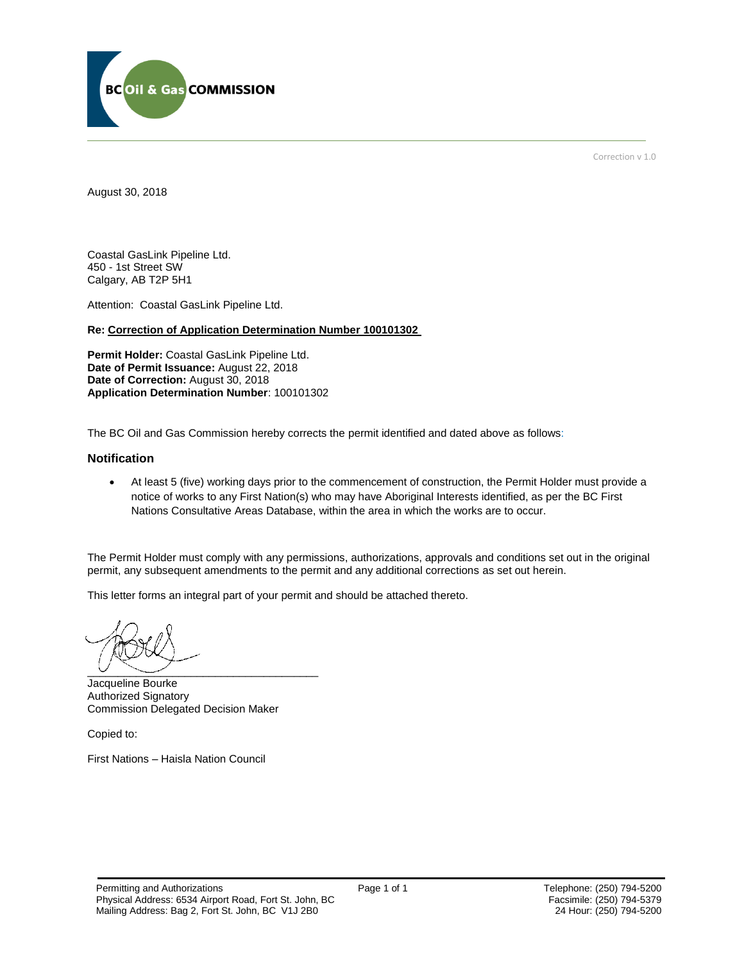

Correction v 1.0

August 30, 2018

Coastal GasLink Pipeline Ltd. 450 - 1st Street SW Calgary, AB T2P 5H1

Attention: Coastal GasLink Pipeline Ltd.

#### **Re: Correction of Application Determination Number 100101302**

**Permit Holder:** Coastal GasLink Pipeline Ltd. **Date of Permit Issuance:** August 22, 2018 Date of Correction: August 30, 2018 **Application Determination Number**: 100101302

The BC Oil and Gas Commission hereby corrects the permit identified and dated above as follows:

#### **Notification**

 At least 5 (five) working days prior to the commencement of construction, the Permit Holder must provide a notice of works to any First Nation(s) who may have Aboriginal Interests identified, as per the BC First Nations Consultative Areas Database, within the area in which the works are to occur.

The Permit Holder must comply with any permissions, authorizations, approvals and conditions set out in the original permit, any subsequent amendments to the permit and any additional corrections as set out herein.

This letter forms an integral part of your permit and should be attached thereto.

 $\overline{\phantom{a}}$ 

Jacqueline Bourke Authorized Signatory Commission Delegated Decision Maker

Copied to:

First Nations – Haisla Nation Council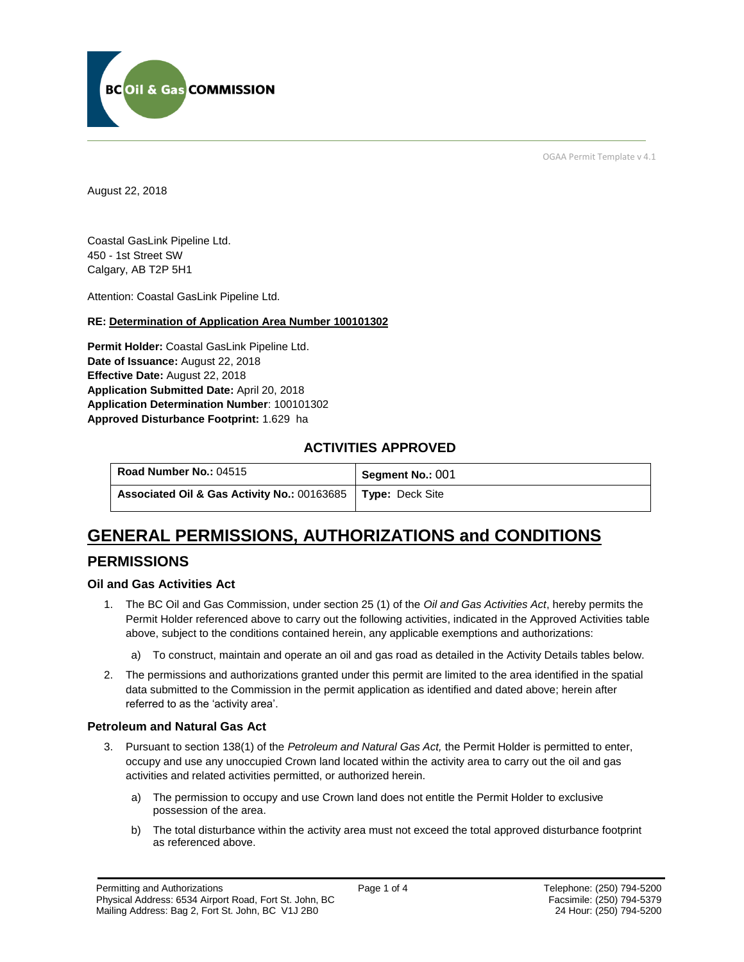

OGAA Permit Template v 4.1

August 22, 2018

Coastal GasLink Pipeline Ltd. 450 - 1st Street SW Calgary, AB T2P 5H1

Attention: Coastal GasLink Pipeline Ltd.

#### **RE: Determination of Application Area Number 100101302**

**Permit Holder:** Coastal GasLink Pipeline Ltd. **Date of Issuance:** August 22, 2018 **Effective Date:** August 22, 2018 **Application Submitted Date:** April 20, 2018 **Application Determination Number**: 100101302 **Approved Disturbance Footprint:** 1.629 ha

### **ACTIVITIES APPROVED**

| Road Number No.: 04515                      | Segment No.: 001       |
|---------------------------------------------|------------------------|
| Associated Oil & Gas Activity No.: 00163685 | <b>Type:</b> Deck Site |

# **GENERAL PERMISSIONS, AUTHORIZATIONS and CONDITIONS**

### **PERMISSIONS**

#### **Oil and Gas Activities Act**

- 1. The BC Oil and Gas Commission, under section 25 (1) of the *Oil and Gas Activities Act*, hereby permits the Permit Holder referenced above to carry out the following activities, indicated in the Approved Activities table above, subject to the conditions contained herein, any applicable exemptions and authorizations:
	- a) To construct, maintain and operate an oil and gas road as detailed in the Activity Details tables below.
- 2. The permissions and authorizations granted under this permit are limited to the area identified in the spatial data submitted to the Commission in the permit application as identified and dated above; herein after referred to as the 'activity area'.

#### **Petroleum and Natural Gas Act**

- 3. Pursuant to section 138(1) of the *Petroleum and Natural Gas Act,* the Permit Holder is permitted to enter, occupy and use any unoccupied Crown land located within the activity area to carry out the oil and gas activities and related activities permitted, or authorized herein.
	- a) The permission to occupy and use Crown land does not entitle the Permit Holder to exclusive possession of the area.
	- b) The total disturbance within the activity area must not exceed the total approved disturbance footprint as referenced above.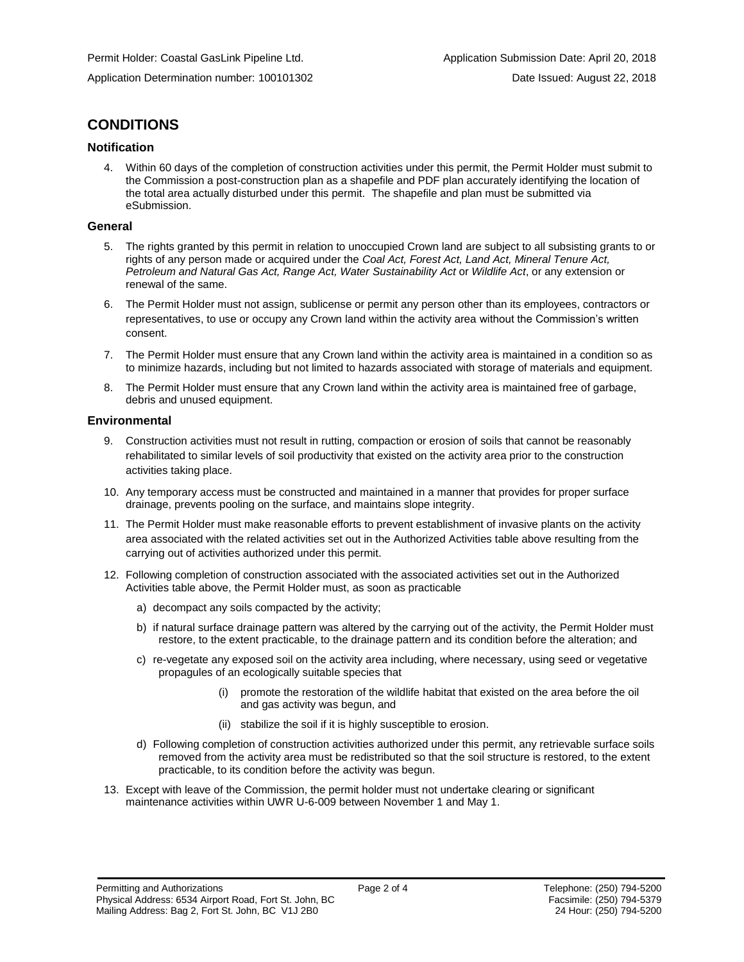# **CONDITIONS**

#### **Notification**

4. Within 60 days of the completion of construction activities under this permit, the Permit Holder must submit to the Commission a post-construction plan as a shapefile and PDF plan accurately identifying the location of the total area actually disturbed under this permit. The shapefile and plan must be submitted via eSubmission.

#### **General**

- 5. The rights granted by this permit in relation to unoccupied Crown land are subject to all subsisting grants to or rights of any person made or acquired under the *Coal Act, Forest Act, Land Act, Mineral Tenure Act, Petroleum and Natural Gas Act, Range Act, Water Sustainability Act* or *Wildlife Act*, or any extension or renewal of the same.
- 6. The Permit Holder must not assign, sublicense or permit any person other than its employees, contractors or representatives, to use or occupy any Crown land within the activity area without the Commission's written consent.
- 7. The Permit Holder must ensure that any Crown land within the activity area is maintained in a condition so as to minimize hazards, including but not limited to hazards associated with storage of materials and equipment.
- 8. The Permit Holder must ensure that any Crown land within the activity area is maintained free of garbage, debris and unused equipment.

#### **Environmental**

- 9. Construction activities must not result in rutting, compaction or erosion of soils that cannot be reasonably rehabilitated to similar levels of soil productivity that existed on the activity area prior to the construction activities taking place.
- 10. Any temporary access must be constructed and maintained in a manner that provides for proper surface drainage, prevents pooling on the surface, and maintains slope integrity.
- 11. The Permit Holder must make reasonable efforts to prevent establishment of invasive plants on the activity area associated with the related activities set out in the Authorized Activities table above resulting from the carrying out of activities authorized under this permit.
- 12. Following completion of construction associated with the associated activities set out in the Authorized Activities table above, the Permit Holder must, as soon as practicable
	- a) decompact any soils compacted by the activity;
	- b) if natural surface drainage pattern was altered by the carrying out of the activity, the Permit Holder must restore, to the extent practicable, to the drainage pattern and its condition before the alteration; and
	- c) re-vegetate any exposed soil on the activity area including, where necessary, using seed or vegetative propagules of an ecologically suitable species that
		- (i) promote the restoration of the wildlife habitat that existed on the area before the oil and gas activity was begun, and
		- (ii) stabilize the soil if it is highly susceptible to erosion.
	- d) Following completion of construction activities authorized under this permit, any retrievable surface soils removed from the activity area must be redistributed so that the soil structure is restored, to the extent practicable, to its condition before the activity was begun.
- 13. Except with leave of the Commission, the permit holder must not undertake clearing or significant maintenance activities within UWR U-6-009 between November 1 and May 1.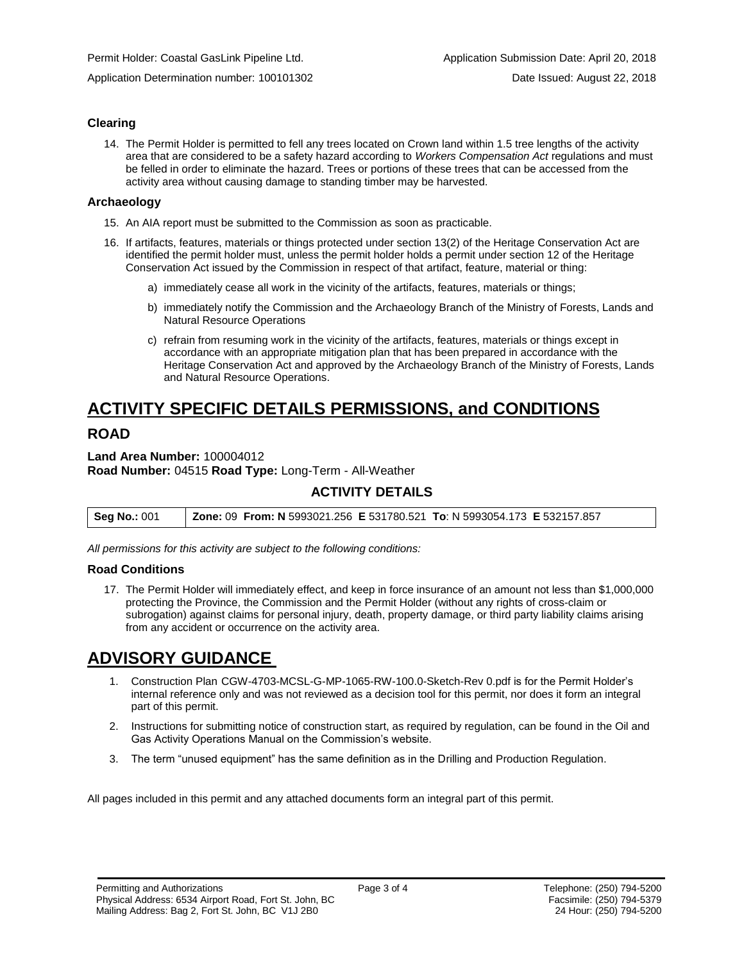Application Determination number: 100101302 Date Issued: August 22, 2018

#### **Clearing**

14. The Permit Holder is permitted to fell any trees located on Crown land within 1.5 tree lengths of the activity area that are considered to be a safety hazard according to *Workers Compensation Act* regulations and must be felled in order to eliminate the hazard. Trees or portions of these trees that can be accessed from the activity area without causing damage to standing timber may be harvested.

#### **Archaeology**

- 15. An AIA report must be submitted to the Commission as soon as practicable.
- 16. If artifacts, features, materials or things protected under section 13(2) of the Heritage Conservation Act are identified the permit holder must, unless the permit holder holds a permit under section 12 of the Heritage Conservation Act issued by the Commission in respect of that artifact, feature, material or thing:
	- a) immediately cease all work in the vicinity of the artifacts, features, materials or things;
	- b) immediately notify the Commission and the Archaeology Branch of the Ministry of Forests, Lands and Natural Resource Operations
	- c) refrain from resuming work in the vicinity of the artifacts, features, materials or things except in accordance with an appropriate mitigation plan that has been prepared in accordance with the Heritage Conservation Act and approved by the Archaeology Branch of the Ministry of Forests, Lands and Natural Resource Operations.

# **ACTIVITY SPECIFIC DETAILS PERMISSIONS, and CONDITIONS**

# **ROAD**

**Land Area Number:** 100004012 **Road Number:** 04515 **Road Type:** Long-Term - All-Weather

# **ACTIVITY DETAILS**

| <b>Seg No.: 001</b> | Zone: 09 From: N 5993021.256 E 531780.521 To: N 5993054.173 E 532157.857 |  |
|---------------------|--------------------------------------------------------------------------|--|
|---------------------|--------------------------------------------------------------------------|--|

*All permissions for this activity are subject to the following conditions:*

#### **Road Conditions**

17. The Permit Holder will immediately effect, and keep in force insurance of an amount not less than \$1,000,000 protecting the Province, the Commission and the Permit Holder (without any rights of cross-claim or subrogation) against claims for personal injury, death, property damage, or third party liability claims arising from any accident or occurrence on the activity area.

# **ADVISORY GUIDANCE**

- 1. Construction Plan CGW-4703-MCSL-G-MP-1065-RW-100.0-Sketch-Rev 0.pdf is for the Permit Holder's internal reference only and was not reviewed as a decision tool for this permit, nor does it form an integral part of this permit.
- 2. Instructions for submitting notice of construction start, as required by regulation, can be found in the Oil and Gas Activity Operations Manual on the Commission's website.
- 3. The term "unused equipment" has the same definition as in the Drilling and Production Regulation.

All pages included in this permit and any attached documents form an integral part of this permit.